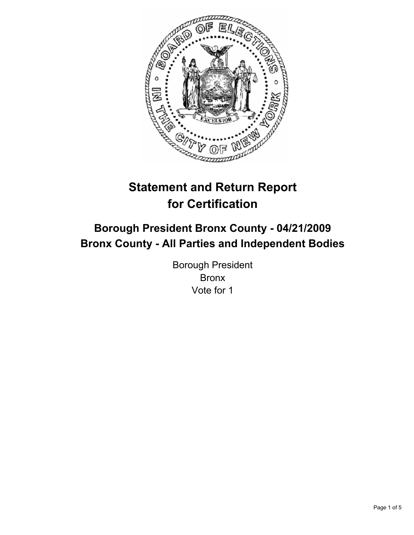

# **Statement and Return Report for Certification**

## **Borough President Bronx County - 04/21/2009 Bronx County - All Parties and Independent Bodies**

Borough President Bronx Vote for 1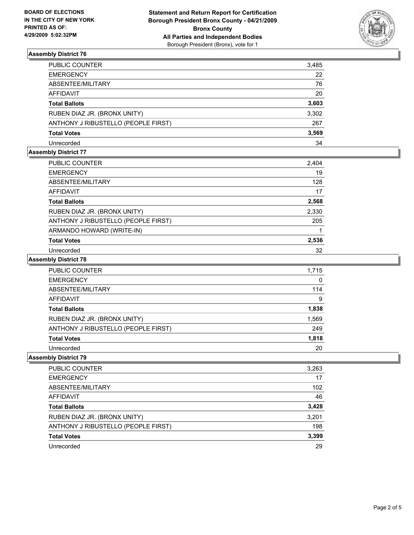

#### **Assembly District 76**

| PUBLIC COUNTER                      | 3,485 |
|-------------------------------------|-------|
| <b>EMERGENCY</b>                    | 22    |
| ABSENTEE/MILITARY                   | 76    |
| AFFIDAVIT                           | 20    |
| <b>Total Ballots</b>                | 3,603 |
| RUBEN DIAZ JR. (BRONX UNITY)        | 3,302 |
| ANTHONY J RIBUSTELLO (PEOPLE FIRST) | 267   |
| <b>Total Votes</b>                  | 3,569 |
| Unrecorded                          | 34    |

## **Assembly District 77**

| PUBLIC COUNTER                      | 2,404 |
|-------------------------------------|-------|
| <b>EMERGENCY</b>                    | 19    |
| ABSENTEE/MILITARY                   | 128   |
| <b>AFFIDAVIT</b>                    | 17    |
| <b>Total Ballots</b>                | 2,568 |
| RUBEN DIAZ JR. (BRONX UNITY)        | 2,330 |
| ANTHONY J RIBUSTELLO (PEOPLE FIRST) | 205   |
| ARMANDO HOWARD (WRITE-IN)           |       |
| <b>Total Votes</b>                  | 2,536 |
| Unrecorded                          | 32    |

#### **Assembly District 78**

| PUBLIC COUNTER                      | 1,715 |
|-------------------------------------|-------|
| <b>EMERGENCY</b>                    | 0     |
| ABSENTEE/MILITARY                   | 114   |
| <b>AFFIDAVIT</b>                    | 9     |
| <b>Total Ballots</b>                | 1,838 |
| RUBEN DIAZ JR. (BRONX UNITY)        | 1,569 |
| ANTHONY J RIBUSTELLO (PEOPLE FIRST) | 249   |
| <b>Total Votes</b>                  | 1,818 |
| Unrecorded                          | 20    |

#### **Assembly District 79**

| PUBLIC COUNTER                      | 3,263 |
|-------------------------------------|-------|
| <b>EMERGENCY</b>                    | 17    |
| ABSENTEE/MILITARY                   | 102   |
| <b>AFFIDAVIT</b>                    | 46    |
| <b>Total Ballots</b>                | 3,428 |
| RUBEN DIAZ JR. (BRONX UNITY)        | 3,201 |
| ANTHONY J RIBUSTELLO (PEOPLE FIRST) | 198   |
| <b>Total Votes</b>                  | 3,399 |
| Unrecorded                          | 29    |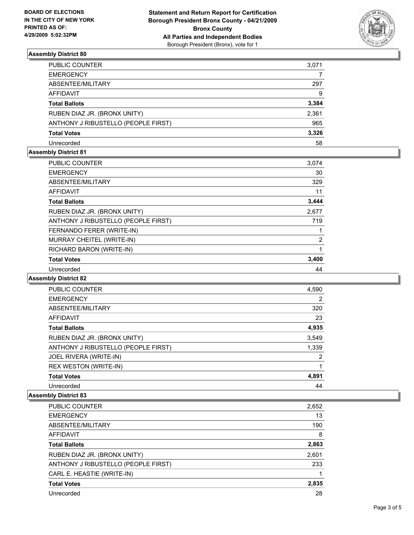

#### **Assembly District 80**

| <b>PUBLIC COUNTER</b>               | 3,071 |
|-------------------------------------|-------|
| <b>EMERGENCY</b>                    |       |
| ABSENTEE/MILITARY                   | 297   |
| AFFIDAVIT                           | 9     |
| <b>Total Ballots</b>                | 3,384 |
| RUBEN DIAZ JR. (BRONX UNITY)        | 2,361 |
| ANTHONY J RIBUSTELLO (PEOPLE FIRST) | 965   |
| <b>Total Votes</b>                  | 3,326 |
| Unrecorded                          | 58    |

#### **Assembly District 81**

| <b>PUBLIC COUNTER</b>               | 3,074 |
|-------------------------------------|-------|
| <b>EMERGENCY</b>                    | 30    |
| ABSENTEE/MILITARY                   | 329   |
| AFFIDAVIT                           | 11    |
| <b>Total Ballots</b>                | 3,444 |
| RUBEN DIAZ JR. (BRONX UNITY)        | 2,677 |
| ANTHONY J RIBUSTELLO (PEOPLE FIRST) | 719   |
| FERNANDO FERER (WRITE-IN)           |       |
| MURRAY CHEITEL (WRITE-IN)           | 2     |
| RICHARD BARON (WRITE-IN)            |       |
| <b>Total Votes</b>                  | 3,400 |
| Unrecorded                          | 44    |

### **Assembly District 82**

| PUBLIC COUNTER                      | 4,590          |
|-------------------------------------|----------------|
| <b>EMERGENCY</b>                    | $\overline{2}$ |
| ABSENTEE/MILITARY                   | 320            |
| <b>AFFIDAVIT</b>                    | 23             |
| <b>Total Ballots</b>                | 4,935          |
| RUBEN DIAZ JR. (BRONX UNITY)        | 3,549          |
| ANTHONY J RIBUSTELLO (PEOPLE FIRST) | 1,339          |
| JOEL RIVERA (WRITE-IN)              | 2              |
| REX WESTON (WRITE-IN)               | 1              |
| <b>Total Votes</b>                  | 4,891          |
| Unrecorded                          | 44             |

#### **Assembly District 83**

| PUBLIC COUNTER                      | 2,652 |
|-------------------------------------|-------|
| <b>EMERGENCY</b>                    | 13    |
| ABSENTEE/MILITARY                   | 190   |
| <b>AFFIDAVIT</b>                    | 8     |
| <b>Total Ballots</b>                | 2,863 |
| RUBEN DIAZ JR. (BRONX UNITY)        | 2,601 |
| ANTHONY J RIBUSTELLO (PEOPLE FIRST) | 233   |
| CARL E. HEASTIE (WRITE-IN)          |       |
| <b>Total Votes</b>                  | 2,835 |
| Unrecorded                          | 28    |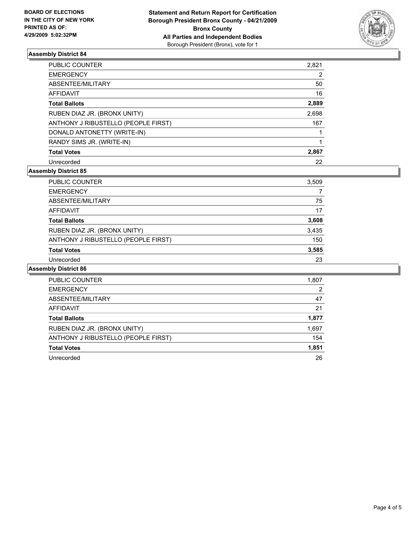

#### **Assembly District 84**

| PUBLIC COUNTER                      | 2,821 |
|-------------------------------------|-------|
| <b>EMERGENCY</b>                    | 2     |
| ABSENTEE/MILITARY                   | 50    |
| <b>AFFIDAVIT</b>                    | 16    |
| <b>Total Ballots</b>                | 2,889 |
| RUBEN DIAZ JR. (BRONX UNITY)        | 2,698 |
| ANTHONY J RIBUSTELLO (PEOPLE FIRST) | 167   |
| DONALD ANTONETTY (WRITE-IN)         |       |
| RANDY SIMS JR. (WRITE-IN)           |       |
| <b>Total Votes</b>                  | 2,867 |
| Unrecorded                          | 22    |

#### **Assembly District 85**

| <b>PUBLIC COUNTER</b>               | 3,509 |
|-------------------------------------|-------|
| <b>EMERGENCY</b>                    |       |
| ABSENTEE/MILITARY                   | 75    |
| <b>AFFIDAVIT</b>                    | 17    |
| <b>Total Ballots</b>                | 3,608 |
| RUBEN DIAZ JR. (BRONX UNITY)        | 3,435 |
| ANTHONY J RIBUSTELLO (PEOPLE FIRST) | 150   |
| <b>Total Votes</b>                  | 3,585 |
| Unrecorded                          | 23    |

#### **Assembly District 86**

| PUBLIC COUNTER                      | 1,807 |
|-------------------------------------|-------|
| <b>EMERGENCY</b>                    | 2     |
| ABSENTEE/MILITARY                   | 47    |
| <b>AFFIDAVIT</b>                    | 21    |
| <b>Total Ballots</b>                | 1,877 |
| RUBEN DIAZ JR. (BRONX UNITY)        | 1,697 |
| ANTHONY J RIBUSTELLO (PEOPLE FIRST) | 154   |
| <b>Total Votes</b>                  | 1,851 |
| Unrecorded                          | 26    |